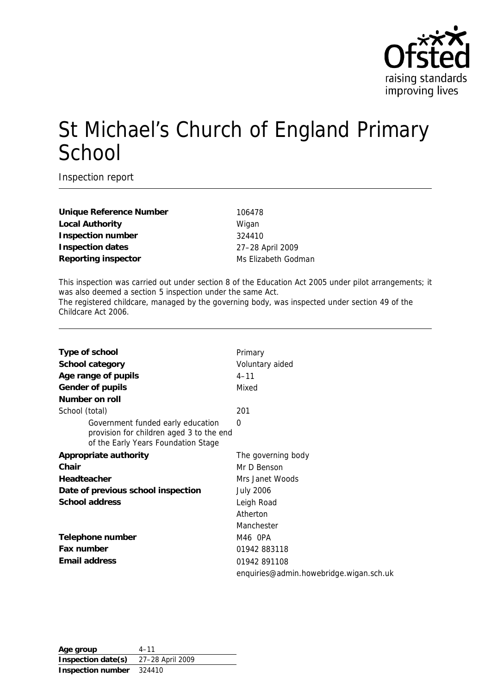

# St Michael's Church of England Primary School

Inspection report

Unique Reference Number 106478 Local Authority **Migan Inspection number** 324410 **Inspection dates** 27–28 April 2009 **Reporting inspector** Ms Elizabeth Godman

This inspection was carried out under section 8 of the Education Act 2005 under pilot arrangements; it was also deemed a section 5 inspection under the same Act. The registered childcare, managed by the governing body, was inspected under section 49 of the Childcare Act 2006.

| Type of school                                                                                                       | Primary                                 |
|----------------------------------------------------------------------------------------------------------------------|-----------------------------------------|
| School category                                                                                                      | Voluntary aided                         |
| Age range of pupils                                                                                                  | $4 - 11$                                |
| Gender of pupils                                                                                                     | Mixed                                   |
| Number on roll                                                                                                       |                                         |
| School (total)                                                                                                       | 201                                     |
| Government funded early education<br>provision for children aged 3 to the end<br>of the Early Years Foundation Stage | 0                                       |
| Appropriate authority                                                                                                | The governing body                      |
| Chair                                                                                                                | Mr D Benson                             |
| Headteacher                                                                                                          | Mrs Janet Woods                         |
| Date of previous school inspection                                                                                   | <b>July 2006</b>                        |
| School address                                                                                                       | Leigh Road                              |
|                                                                                                                      | Atherton                                |
|                                                                                                                      | Manchester                              |
| Telephone number                                                                                                     | M46 OPA                                 |
| Fax number                                                                                                           | 01942 883118                            |
| Email address                                                                                                        | 01942 891108                            |
|                                                                                                                      | enquiries@admin.howebridge.wigan.sch.uk |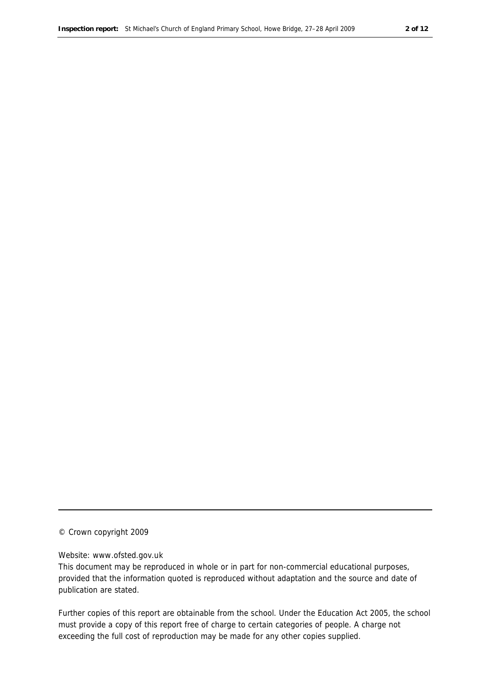#### © Crown copyright 2009

#### Website: www.ofsted.gov.uk

This document may be reproduced in whole or in part for non-commercial educational purposes, provided that the information quoted is reproduced without adaptation and the source and date of publication are stated.

Further copies of this report are obtainable from the school. Under the Education Act 2005, the school must provide a copy of this report free of charge to certain categories of people. A charge not exceeding the full cost of reproduction may be made for any other copies supplied.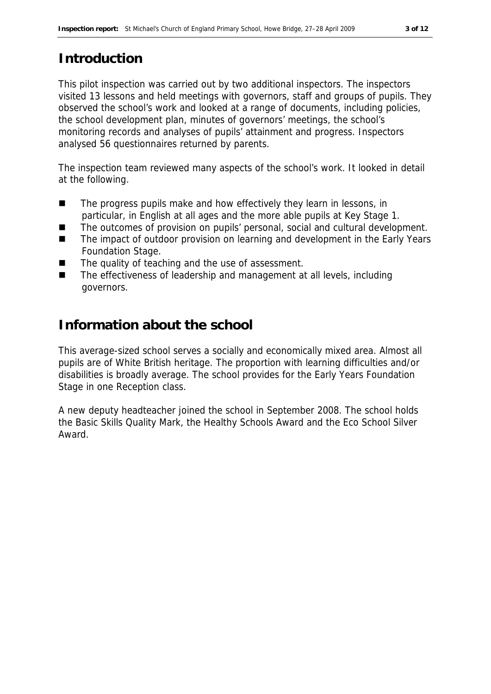# **Introduction**

This pilot inspection was carried out by two additional inspectors. The inspectors visited 13 lessons and held meetings with governors, staff and groups of pupils. They observed the school's work and looked at a range of documents, including policies, the school development plan, minutes of governors' meetings, the school's monitoring records and analyses of pupils' attainment and progress. Inspectors analysed 56 questionnaires returned by parents.

The inspection team reviewed many aspects of the school's work. It looked in detail at the following.

- The progress pupils make and how effectively they learn in lessons, in particular, in English at all ages and the more able pupils at Key Stage 1.
- The outcomes of provision on pupils' personal, social and cultural development.
- The impact of outdoor provision on learning and development in the Early Years Foundation Stage.
- The quality of teaching and the use of assessment.
- The effectiveness of leadership and management at all levels, including governors.

# **Information about the school**

This average-sized school serves a socially and economically mixed area. Almost all pupils are of White British heritage. The proportion with learning difficulties and/or disabilities is broadly average. The school provides for the Early Years Foundation Stage in one Reception class.

A new deputy headteacher joined the school in September 2008. The school holds the Basic Skills Quality Mark, the Healthy Schools Award and the Eco School Silver Award.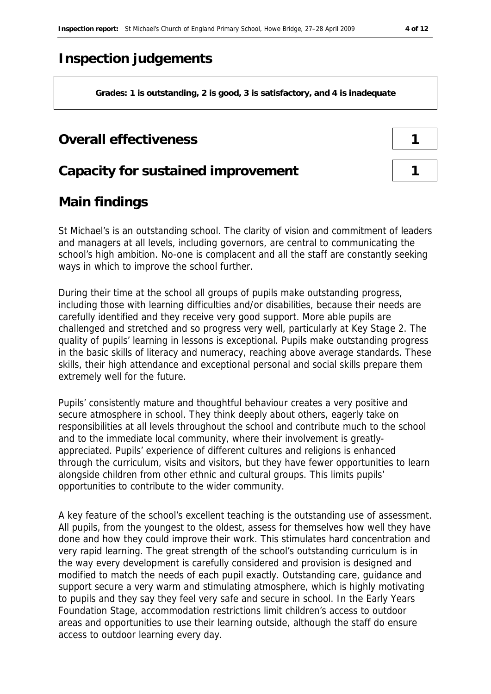# **Inspection judgements**

**Grades: 1 is outstanding, 2 is good, 3 is satisfactory, and 4 is inadequate**

### **Overall effectiveness**

#### **Capacity for sustained improvement 1**

# **Main findings**

St Michael's is an outstanding school. The clarity of vision and commitment of leaders and managers at all levels, including governors, are central to communicating the school's high ambition. No-one is complacent and all the staff are constantly seeking ways in which to improve the school further.

During their time at the school all groups of pupils make outstanding progress, including those with learning difficulties and/or disabilities, because their needs are carefully identified and they receive very good support. More able pupils are challenged and stretched and so progress very well, particularly at Key Stage 2. The quality of pupils' learning in lessons is exceptional. Pupils make outstanding progress in the basic skills of literacy and numeracy, reaching above average standards. These skills, their high attendance and exceptional personal and social skills prepare them extremely well for the future.

Pupils' consistently mature and thoughtful behaviour creates a very positive and secure atmosphere in school. They think deeply about others, eagerly take on responsibilities at all levels throughout the school and contribute much to the school and to the immediate local community, where their involvement is greatlyappreciated. Pupils' experience of different cultures and religions is enhanced through the curriculum, visits and visitors, but they have fewer opportunities to learn alongside children from other ethnic and cultural groups. This limits pupils' opportunities to contribute to the wider community.

A key feature of the school's excellent teaching is the outstanding use of assessment. All pupils, from the youngest to the oldest, assess for themselves how well they have done and how they could improve their work. This stimulates hard concentration and very rapid learning. The great strength of the school's outstanding curriculum is in the way every development is carefully considered and provision is designed and modified to match the needs of each pupil exactly. Outstanding care, guidance and support secure a very warm and stimulating atmosphere, which is highly motivating to pupils and they say they feel very safe and secure in school. In the Early Years Foundation Stage, accommodation restrictions limit children's access to outdoor areas and opportunities to use their learning outside, although the staff do ensure access to outdoor learning every day.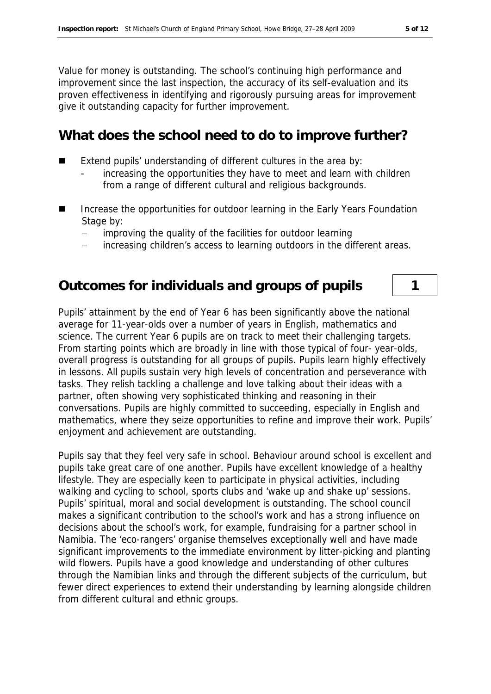Value for money is outstanding. The school's continuing high performance and improvement since the last inspection, the accuracy of its self-evaluation and its proven effectiveness in identifying and rigorously pursuing areas for improvement give it outstanding capacity for further improvement.

#### **What does the school need to do to improve further?**

- Extend pupils' understanding of different cultures in the area by:
	- increasing the opportunities they have to meet and learn with children from a range of different cultural and religious backgrounds.
- Increase the opportunities for outdoor learning in the Early Years Foundation Stage by:
	- improving the quality of the facilities for outdoor learning
	- increasing children's access to learning outdoors in the different areas.

#### **Outcomes for individuals and groups of pupils 1**

Pupils' attainment by the end of Year 6 has been significantly above the national average for 11-year-olds over a number of years in English, mathematics and science. The current Year 6 pupils are on track to meet their challenging targets. From starting points which are broadly in line with those typical of four- year-olds, overall progress is outstanding for all groups of pupils. Pupils learn highly effectively in lessons. All pupils sustain very high levels of concentration and perseverance with tasks. They relish tackling a challenge and love talking about their ideas with a partner, often showing very sophisticated thinking and reasoning in their conversations. Pupils are highly committed to succeeding, especially in English and mathematics, where they seize opportunities to refine and improve their work. Pupils' enjoyment and achievement are outstanding.

Pupils say that they feel very safe in school. Behaviour around school is excellent and pupils take great care of one another. Pupils have excellent knowledge of a healthy lifestyle. They are especially keen to participate in physical activities, including walking and cycling to school, sports clubs and 'wake up and shake up' sessions. Pupils' spiritual, moral and social development is outstanding. The school council makes a significant contribution to the school's work and has a strong influence on decisions about the school's work, for example, fundraising for a partner school in Namibia. The 'eco-rangers' organise themselves exceptionally well and have made significant improvements to the immediate environment by litter-picking and planting wild flowers. Pupils have a good knowledge and understanding of other cultures through the Namibian links and through the different subjects of the curriculum, but fewer direct experiences to extend their understanding by learning alongside children from different cultural and ethnic groups.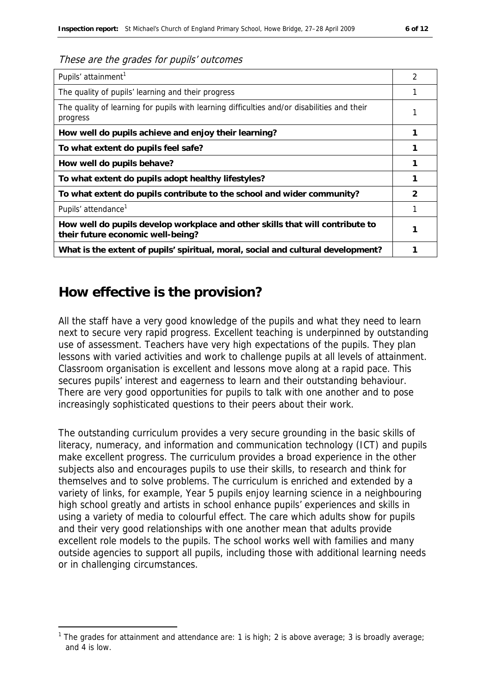#### These are the grades for pupils' outcomes

| Pupils' attainment <sup>1</sup>                                                                                    | 2 |
|--------------------------------------------------------------------------------------------------------------------|---|
| The quality of pupils' learning and their progress                                                                 |   |
| The quality of learning for pupils with learning difficulties and/or disabilities and their<br>progress            |   |
| How well do pupils achieve and enjoy their learning?                                                               |   |
| To what extent do pupils feel safe?                                                                                |   |
| How well do pupils behave?                                                                                         |   |
| To what extent do pupils adopt healthy lifestyles?                                                                 |   |
| To what extent do pupils contribute to the school and wider community?                                             | 2 |
| Pupils' attendance <sup>1</sup>                                                                                    |   |
| How well do pupils develop workplace and other skills that will contribute to<br>their future economic well-being? |   |
| What is the extent of pupils' spiritual, moral, social and cultural development?                                   |   |

### **How effective is the provision?**

-

All the staff have a very good knowledge of the pupils and what they need to learn next to secure very rapid progress. Excellent teaching is underpinned by outstanding use of assessment. Teachers have very high expectations of the pupils. They plan lessons with varied activities and work to challenge pupils at all levels of attainment. Classroom organisation is excellent and lessons move along at a rapid pace. This secures pupils' interest and eagerness to learn and their outstanding behaviour. There are very good opportunities for pupils to talk with one another and to pose increasingly sophisticated questions to their peers about their work.

The outstanding curriculum provides a very secure grounding in the basic skills of literacy, numeracy, and information and communication technology (ICT) and pupils make excellent progress. The curriculum provides a broad experience in the other subjects also and encourages pupils to use their skills, to research and think for themselves and to solve problems. The curriculum is enriched and extended by a variety of links, for example, Year 5 pupils enjoy learning science in a neighbouring high school greatly and artists in school enhance pupils' experiences and skills in using a variety of media to colourful effect. The care which adults show for pupils and their very good relationships with one another mean that adults provide excellent role models to the pupils. The school works well with families and many outside agencies to support all pupils, including those with additional learning needs or in challenging circumstances.

<sup>&</sup>lt;sup>1</sup> The grades for attainment and attendance are: 1 is high; 2 is above average; 3 is broadly average; and 4 is low.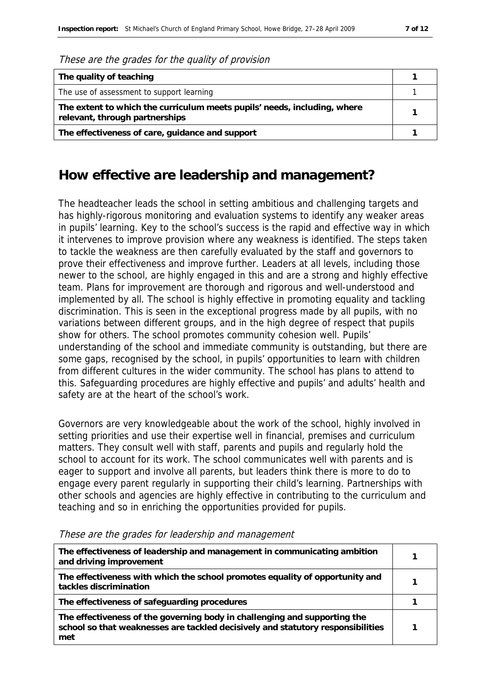|  |  |  | These are the grades for the quality of provision |
|--|--|--|---------------------------------------------------|
|  |  |  |                                                   |

| The quality of teaching                                                                                    |  |
|------------------------------------------------------------------------------------------------------------|--|
| The use of assessment to support learning                                                                  |  |
| The extent to which the curriculum meets pupils' needs, including, where<br>relevant, through partnerships |  |
| The effectiveness of care, guidance and support                                                            |  |

### **How effective are leadership and management?**

The headteacher leads the school in setting ambitious and challenging targets and has highly-rigorous monitoring and evaluation systems to identify any weaker areas in pupils' learning. Key to the school's success is the rapid and effective way in which it intervenes to improve provision where any weakness is identified. The steps taken to tackle the weakness are then carefully evaluated by the staff and governors to prove their effectiveness and improve further. Leaders at all levels, including those newer to the school, are highly engaged in this and are a strong and highly effective team. Plans for improvement are thorough and rigorous and well-understood and implemented by all. The school is highly effective in promoting equality and tackling discrimination. This is seen in the exceptional progress made by all pupils, with no variations between different groups, and in the high degree of respect that pupils show for others. The school promotes community cohesion well. Pupils' understanding of the school and immediate community is outstanding, but there are some gaps, recognised by the school, in pupils' opportunities to learn with children from different cultures in the wider community. The school has plans to attend to this. Safeguarding procedures are highly effective and pupils' and adults' health and safety are at the heart of the school's work.

Governors are very knowledgeable about the work of the school, highly involved in setting priorities and use their expertise well in financial, premises and curriculum matters. They consult well with staff, parents and pupils and regularly hold the school to account for its work. The school communicates well with parents and is eager to support and involve all parents, but leaders think there is more to do to engage every parent regularly in supporting their child's learning. Partnerships with other schools and agencies are highly effective in contributing to the curriculum and teaching and so in enriching the opportunities provided for pupils.

| The effectiveness of leadership and management in communicating ambition<br>and driving improvement                                                                 |  |
|---------------------------------------------------------------------------------------------------------------------------------------------------------------------|--|
| The effectiveness with which the school promotes equality of opportunity and<br>tackles discrimination                                                              |  |
| The effectiveness of safeguarding procedures                                                                                                                        |  |
| The effectiveness of the governing body in challenging and supporting the<br>school so that weaknesses are tackled decisively and statutory responsibilities<br>met |  |

These are the grades for leadership and management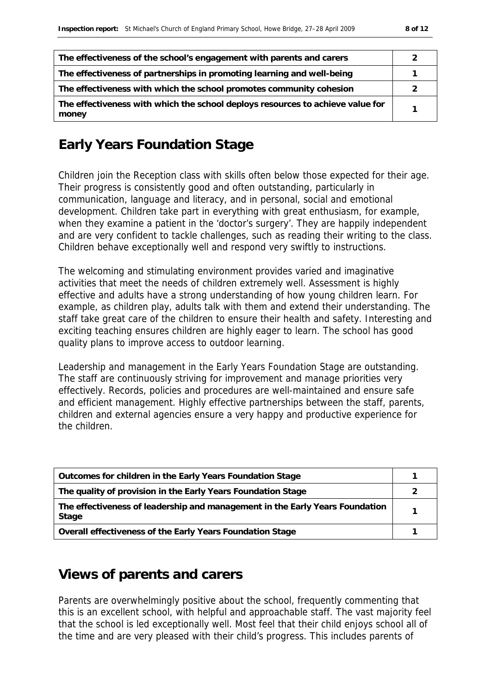| The effectiveness of the school's engagement with parents and carers                    |  |
|-----------------------------------------------------------------------------------------|--|
| The effectiveness of partnerships in promoting learning and well-being                  |  |
| The effectiveness with which the school promotes community cohesion                     |  |
| The effectiveness with which the school deploys resources to achieve value for<br>money |  |

# **Early Years Foundation Stage**

Children join the Reception class with skills often below those expected for their age. Their progress is consistently good and often outstanding, particularly in communication, language and literacy, and in personal, social and emotional development. Children take part in everything with great enthusiasm, for example, when they examine a patient in the 'doctor's surgery'. They are happily independent and are very confident to tackle challenges, such as reading their writing to the class. Children behave exceptionally well and respond very swiftly to instructions.

The welcoming and stimulating environment provides varied and imaginative activities that meet the needs of children extremely well. Assessment is highly effective and adults have a strong understanding of how young children learn. For example, as children play, adults talk with them and extend their understanding. The staff take great care of the children to ensure their health and safety. Interesting and exciting teaching ensures children are highly eager to learn. The school has good quality plans to improve access to outdoor learning.

Leadership and management in the Early Years Foundation Stage are outstanding. The staff are continuously striving for improvement and manage priorities very effectively. Records, policies and procedures are well-maintained and ensure safe and efficient management. Highly effective partnerships between the staff, parents, children and external agencies ensure a very happy and productive experience for the children.

| Outcomes for children in the Early Years Foundation Stage                             |  |
|---------------------------------------------------------------------------------------|--|
| The quality of provision in the Early Years Foundation Stage                          |  |
| The effectiveness of leadership and management in the Early Years Foundation<br>Stage |  |
| Overall effectiveness of the Early Years Foundation Stage                             |  |

## **Views of parents and carers**

Parents are overwhelmingly positive about the school, frequently commenting that this is an excellent school, with helpful and approachable staff. The vast majority feel that the school is led exceptionally well. Most feel that their child enjoys school all of the time and are very pleased with their child's progress. This includes parents of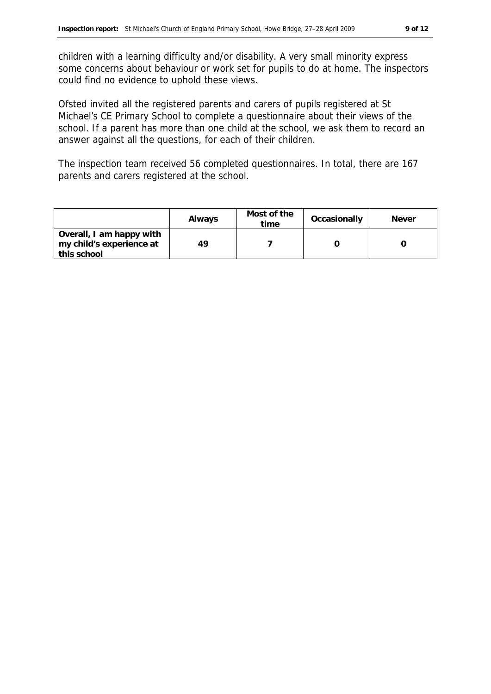children with a learning difficulty and/or disability. A very small minority express some concerns about behaviour or work set for pupils to do at home. The inspectors could find no evidence to uphold these views.

Ofsted invited all the registered parents and carers of pupils registered at St Michael's CE Primary School to complete a questionnaire about their views of the school. If a parent has more than one child at the school, we ask them to record an answer against all the questions, for each of their children.

The inspection team received 56 completed questionnaires. In total, there are 167 parents and carers registered at the school.

|                                                                     | Always | Most of the<br>time | Occasionally | Never |
|---------------------------------------------------------------------|--------|---------------------|--------------|-------|
| Overall, I am happy with<br>my child's experience at<br>this school | 49     |                     |              |       |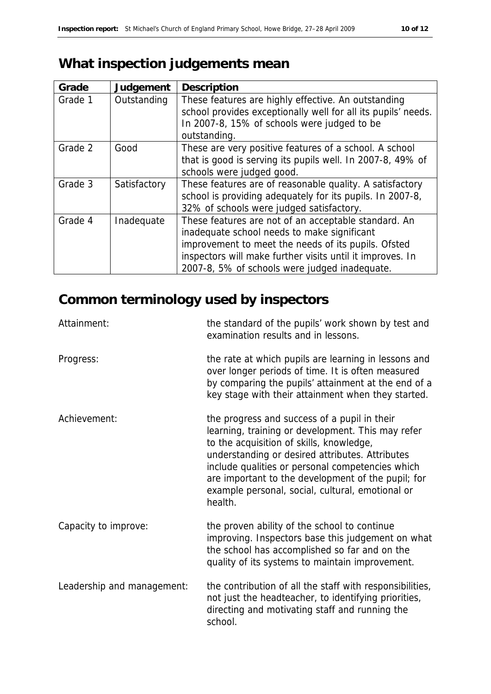# **What inspection judgements mean**

| Grade   | Judgement    | Description                                                   |
|---------|--------------|---------------------------------------------------------------|
| Grade 1 | Outstanding  | These features are highly effective. An outstanding           |
|         |              | school provides exceptionally well for all its pupils' needs. |
|         |              | In 2007-8, 15% of schools were judged to be                   |
|         |              | outstanding.                                                  |
| Grade 2 | Good         | These are very positive features of a school. A school        |
|         |              | that is good is serving its pupils well. In 2007-8, 49% of    |
|         |              | schools were judged good.                                     |
| Grade 3 | Satisfactory | These features are of reasonable quality. A satisfactory      |
|         |              | school is providing adequately for its pupils. In 2007-8,     |
|         |              | 32% of schools were judged satisfactory.                      |
| Grade 4 | Inadequate   | These features are not of an acceptable standard. An          |
|         |              | inadequate school needs to make significant                   |
|         |              | improvement to meet the needs of its pupils. Ofsted           |
|         |              | inspectors will make further visits until it improves. In     |
|         |              | 2007-8, 5% of schools were judged inadequate.                 |

# **Common terminology used by inspectors**

| Attainment:                | the standard of the pupils' work shown by test and<br>examination results and in lessons.                                                                                                                                                                                                                                                                                 |
|----------------------------|---------------------------------------------------------------------------------------------------------------------------------------------------------------------------------------------------------------------------------------------------------------------------------------------------------------------------------------------------------------------------|
| Progress:                  | the rate at which pupils are learning in lessons and<br>over longer periods of time. It is often measured<br>by comparing the pupils' attainment at the end of a<br>key stage with their attainment when they started.                                                                                                                                                    |
| Achievement:               | the progress and success of a pupil in their<br>learning, training or development. This may refer<br>to the acquisition of skills, knowledge,<br>understanding or desired attributes. Attributes<br>include qualities or personal competencies which<br>are important to the development of the pupil; for<br>example personal, social, cultural, emotional or<br>health. |
| Capacity to improve:       | the proven ability of the school to continue<br>improving. Inspectors base this judgement on what<br>the school has accomplished so far and on the<br>quality of its systems to maintain improvement.                                                                                                                                                                     |
| Leadership and management: | the contribution of all the staff with responsibilities,<br>not just the headteacher, to identifying priorities,<br>directing and motivating staff and running the<br>school.                                                                                                                                                                                             |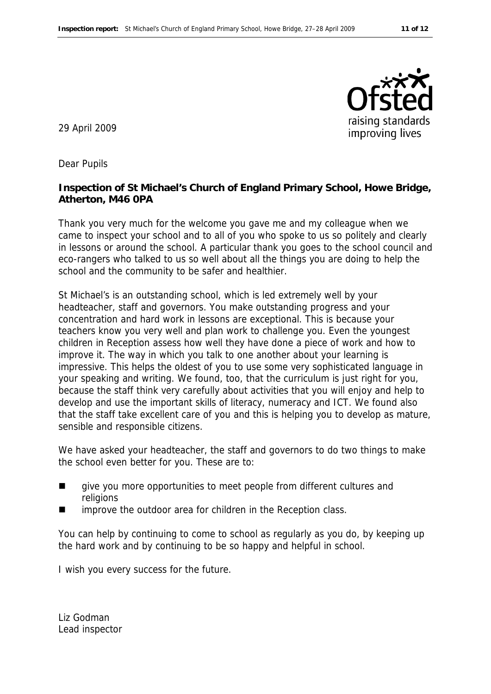

29 April 2009

Dear Pupils

**Inspection of St Michael's Church of England Primary School, Howe Bridge, Atherton, M46 0PA**

Thank you very much for the welcome you gave me and my colleague when we came to inspect your school and to all of you who spoke to us so politely and clearly in lessons or around the school. A particular thank you goes to the school council and eco-rangers who talked to us so well about all the things you are doing to help the school and the community to be safer and healthier.

St Michael's is an outstanding school, which is led extremely well by your headteacher, staff and governors. You make outstanding progress and your concentration and hard work in lessons are exceptional. This is because your teachers know you very well and plan work to challenge you. Even the youngest children in Reception assess how well they have done a piece of work and how to improve it. The way in which you talk to one another about your learning is impressive. This helps the oldest of you to use some very sophisticated language in your speaking and writing. We found, too, that the curriculum is just right for you, because the staff think very carefully about activities that you will enjoy and help to develop and use the important skills of literacy, numeracy and ICT. We found also that the staff take excellent care of you and this is helping you to develop as mature, sensible and responsible citizens.

We have asked your headteacher, the staff and governors to do two things to make the school even better for you. These are to:

- qive you more opportunities to meet people from different cultures and religions
- improve the outdoor area for children in the Reception class.

You can help by continuing to come to school as regularly as you do, by keeping up the hard work and by continuing to be so happy and helpful in school.

I wish you every success for the future.

Liz Godman Lead inspector